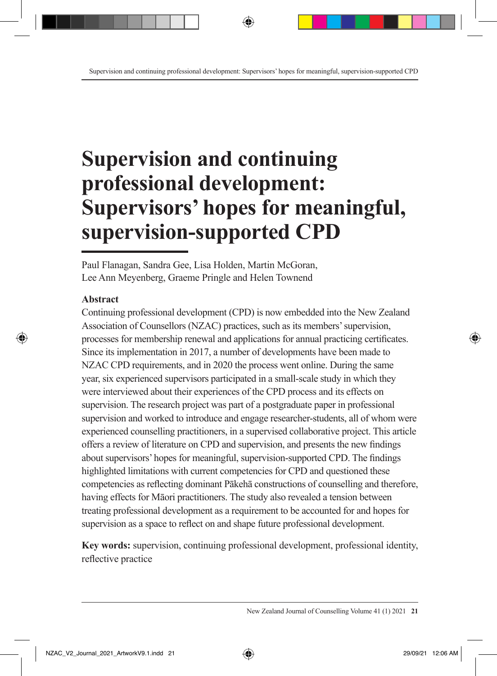# **Supervision and continuing professional development: Supervisors' hopes for meaningful, supervision-supported CPD**

Paul Flanagan, Sandra Gee, Lisa Holden, Martin McGoran, Lee Ann Meyenberg, Graeme Pringle and Helen Townend

#### **Abstract**

Continuing professional development (CPD) is now embedded into the New Zealand Association of Counsellors (NZAC) practices, such as its members' supervision, processes for membership renewal and applications for annual practicing certificates. Since its implementation in 2017, a number of developments have been made to NZAC CPD requirements, and in 2020 the process went online. During the same year, six experienced supervisors participated in a small-scale study in which they were interviewed about their experiences of the CPD process and its effects on supervision. The research project was part of a postgraduate paper in professional supervision and worked to introduce and engage researcher-students, all of whom were experienced counselling practitioners, in a supervised collaborative project. This article offers a review of literature on CPD and supervision, and presents the new findings about supervisors' hopes for meaningful, supervision-supported CPD. The findings highlighted limitations with current competencies for CPD and questioned these competencies as reflecting dominant Pākehā constructions of counselling and therefore, having effects for Māori practitioners. The study also revealed a tension between treating professional development as a requirement to be accounted for and hopes for supervision as a space to reflect on and shape future professional development.

**Key words:** supervision, continuing professional development, professional identity, reflective practice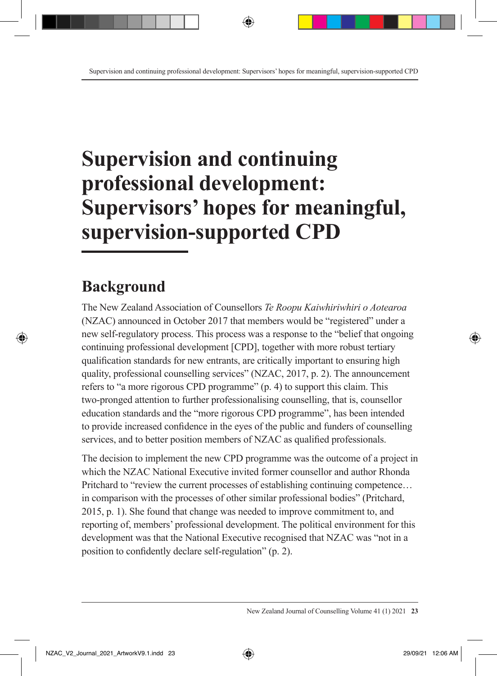# **Supervision and continuing professional development: Supervisors' hopes for meaningful, supervision-supported CPD**

# **Background**

The New Zealand Association of Counsellors *Te Roopu Kaiwhiriwhiri o Aotearoa* (NZAC) announced in October 2017 that members would be "registered" under a new self-regulatory process. This process was a response to the "belief that ongoing continuing professional development [CPD], together with more robust tertiary qualification standards for new entrants, are critically important to ensuring high quality, professional counselling services" (NZAC, 2017, p. 2). The announcement refers to "a more rigorous CPD programme" (p. 4) to support this claim. This two-pronged attention to further professionalising counselling, that is, counsellor education standards and the "more rigorous CPD programme", has been intended to provide increased confidence in the eyes of the public and funders of counselling services, and to better position members of NZAC as qualified professionals.

The decision to implement the new CPD programme was the outcome of a project in which the NZAC National Executive invited former counsellor and author Rhonda Pritchard to "review the current processes of establishing continuing competence… in comparison with the processes of other similar professional bodies" (Pritchard, 2015, p. 1). She found that change was needed to improve commitment to, and reporting of, members' professional development. The political environment for this development was that the National Executive recognised that NZAC was "not in a position to confidently declare self-regulation" (p. 2).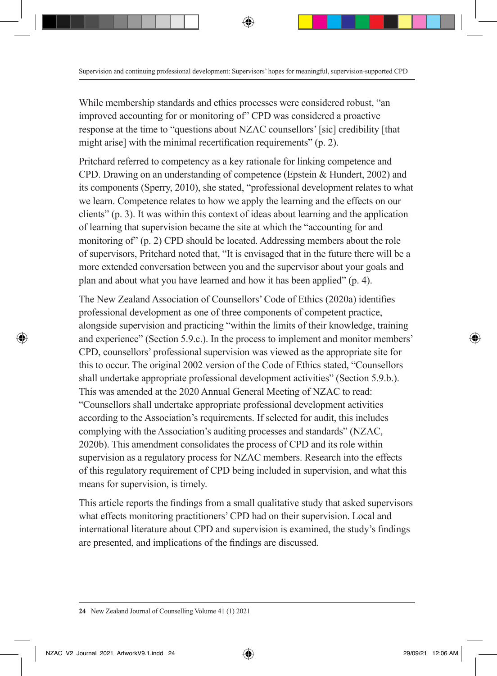While membership standards and ethics processes were considered robust, "an improved accounting for or monitoring of" CPD was considered a proactive response at the time to "questions about NZAC counsellors' [sic] credibility [that might arise] with the minimal recertification requirements" (p. 2).

Pritchard referred to competency as a key rationale for linking competence and CPD. Drawing on an understanding of competence (Epstein & Hundert, 2002) and its components (Sperry, 2010), she stated, "professional development relates to what we learn. Competence relates to how we apply the learning and the effects on our clients" (p. 3). It was within this context of ideas about learning and the application of learning that supervision became the site at which the "accounting for and monitoring of" (p. 2) CPD should be located. Addressing members about the role of supervisors, Pritchard noted that, "It is envisaged that in the future there will be a more extended conversation between you and the supervisor about your goals and plan and about what you have learned and how it has been applied" (p. 4).

The New Zealand Association of Counsellors' Code of Ethics (2020a) identifies professional development as one of three components of competent practice, alongside supervision and practicing "within the limits of their knowledge, training and experience" (Section 5.9.c.). In the process to implement and monitor members' CPD, counsellors' professional supervision was viewed as the appropriate site for this to occur. The original 2002 version of the Code of Ethics stated, "Counsellors shall undertake appropriate professional development activities" (Section 5.9.b.). This was amended at the 2020 Annual General Meeting of NZAC to read: "Counsellors shall undertake appropriate professional development activities according to the Association's requirements. If selected for audit, this includes complying with the Association's auditing processes and standards" (NZAC, 2020b). This amendment consolidates the process of CPD and its role within supervision as a regulatory process for NZAC members. Research into the effects of this regulatory requirement of CPD being included in supervision, and what this means for supervision, is timely.

This article reports the findings from a small qualitative study that asked supervisors what effects monitoring practitioners' CPD had on their supervision. Local and international literature about CPD and supervision is examined, the study's findings are presented, and implications of the findings are discussed.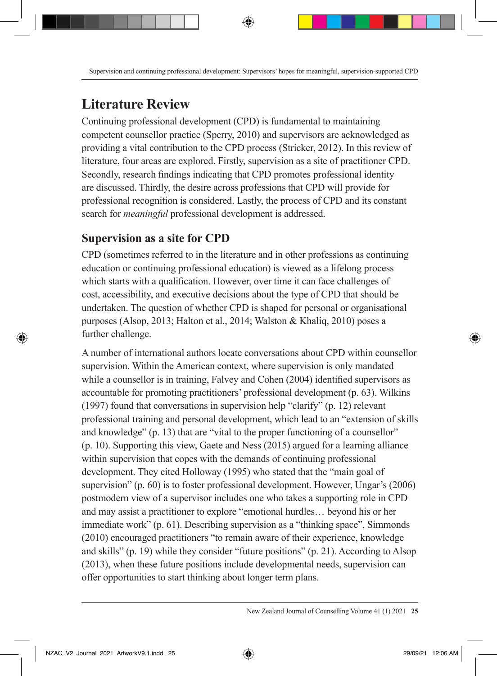## **Literature Review**

Continuing professional development (CPD) is fundamental to maintaining competent counsellor practice (Sperry, 2010) and supervisors are acknowledged as providing a vital contribution to the CPD process (Stricker, 2012). In this review of literature, four areas are explored. Firstly, supervision as a site of practitioner CPD. Secondly, research findings indicating that CPD promotes professional identity are discussed. Thirdly, the desire across professions that CPD will provide for professional recognition is considered. Lastly, the process of CPD and its constant search for *meaningful* professional development is addressed.

### **Supervision as a site for CPD**

CPD (sometimes referred to in the literature and in other professions as continuing education or continuing professional education) is viewed as a lifelong process which starts with a qualification. However, over time it can face challenges of cost, accessibility, and executive decisions about the type of CPD that should be undertaken. The question of whether CPD is shaped for personal or organisational purposes (Alsop, 2013; Halton et al., 2014; Walston & Khaliq, 2010) poses a further challenge.

A number of international authors locate conversations about CPD within counsellor supervision. Within the American context, where supervision is only mandated while a counsellor is in training, Falvey and Cohen (2004) identified supervisors as accountable for promoting practitioners' professional development (p. 63). Wilkins (1997) found that conversations in supervision help "clarify" (p. 12) relevant professional training and personal development, which lead to an "extension of skills and knowledge" (p. 13) that are "vital to the proper functioning of a counsellor" (p. 10). Supporting this view, Gaete and Ness (2015) argued for a learning alliance within supervision that copes with the demands of continuing professional development. They cited Holloway (1995) who stated that the "main goal of supervision" (p. 60) is to foster professional development. However, Ungar's (2006) postmodern view of a supervisor includes one who takes a supporting role in CPD and may assist a practitioner to explore "emotional hurdles… beyond his or her immediate work" (p. 61). Describing supervision as a "thinking space", Simmonds (2010) encouraged practitioners "to remain aware of their experience, knowledge and skills" (p. 19) while they consider "future positions" (p. 21). According to Alsop (2013), when these future positions include developmental needs, supervision can offer opportunities to start thinking about longer term plans.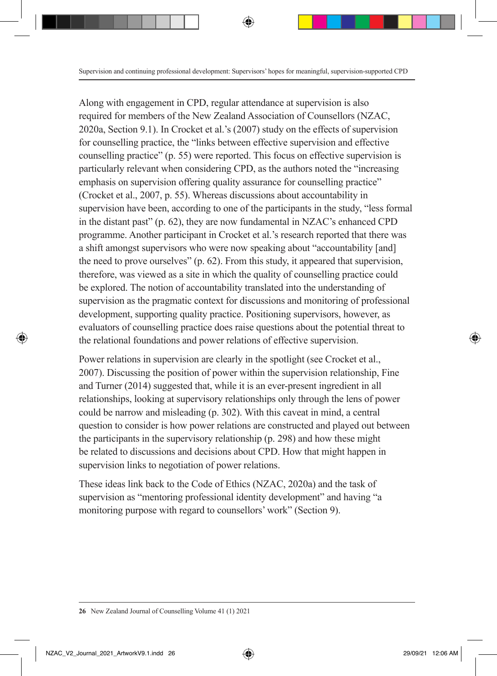Along with engagement in CPD, regular attendance at supervision is also required for members of the New Zealand Association of Counsellors (NZAC, 2020a, Section 9.1). In Crocket et al.'s (2007) study on the effects of supervision for counselling practice, the "links between effective supervision and effective counselling practice" (p. 55) were reported. This focus on effective supervision is particularly relevant when considering CPD, as the authors noted the "increasing emphasis on supervision offering quality assurance for counselling practice" (Crocket et al., 2007, p. 55). Whereas discussions about accountability in supervision have been, according to one of the participants in the study, "less formal in the distant past" (p. 62), they are now fundamental in NZAC's enhanced CPD programme. Another participant in Crocket et al.'s research reported that there was a shift amongst supervisors who were now speaking about "accountability [and] the need to prove ourselves" (p. 62). From this study, it appeared that supervision, therefore, was viewed as a site in which the quality of counselling practice could be explored. The notion of accountability translated into the understanding of supervision as the pragmatic context for discussions and monitoring of professional development, supporting quality practice. Positioning supervisors, however, as evaluators of counselling practice does raise questions about the potential threat to the relational foundations and power relations of effective supervision.

Power relations in supervision are clearly in the spotlight (see Crocket et al., 2007). Discussing the position of power within the supervision relationship, Fine and Turner (2014) suggested that, while it is an ever-present ingredient in all relationships, looking at supervisory relationships only through the lens of power could be narrow and misleading (p. 302). With this caveat in mind, a central question to consider is how power relations are constructed and played out between the participants in the supervisory relationship (p. 298) and how these might be related to discussions and decisions about CPD. How that might happen in supervision links to negotiation of power relations.

These ideas link back to the Code of Ethics (NZAC, 2020a) and the task of supervision as "mentoring professional identity development" and having "a monitoring purpose with regard to counsellors' work" (Section 9).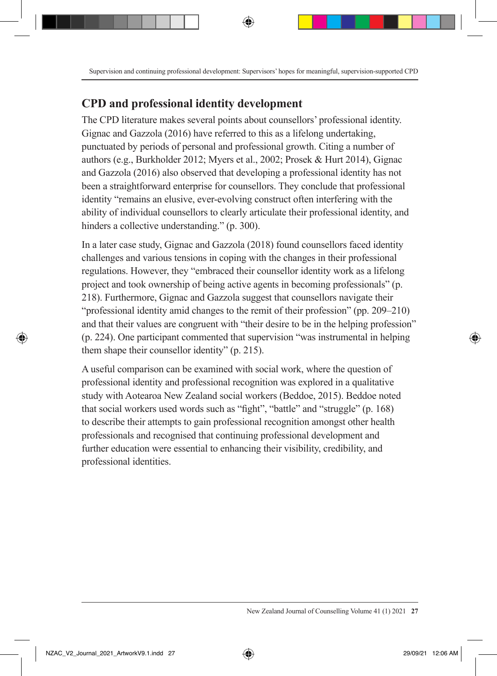#### **CPD and professional identity development**

The CPD literature makes several points about counsellors' professional identity. Gignac and Gazzola (2016) have referred to this as a lifelong undertaking, punctuated by periods of personal and professional growth. Citing a number of authors (e.g., Burkholder 2012; Myers et al., 2002; Prosek & Hurt 2014), Gignac and Gazzola (2016) also observed that developing a professional identity has not been a straightforward enterprise for counsellors. They conclude that professional identity "remains an elusive, ever-evolving construct often interfering with the ability of individual counsellors to clearly articulate their professional identity, and hinders a collective understanding." (p. 300).

In a later case study, Gignac and Gazzola (2018) found counsellors faced identity challenges and various tensions in coping with the changes in their professional regulations. However, they "embraced their counsellor identity work as a lifelong project and took ownership of being active agents in becoming professionals" (p. 218). Furthermore, Gignac and Gazzola suggest that counsellors navigate their "professional identity amid changes to the remit of their profession" (pp. 209–210) and that their values are congruent with "their desire to be in the helping profession" (p. 224). One participant commented that supervision "was instrumental in helping them shape their counsellor identity" (p. 215).

A useful comparison can be examined with social work, where the question of professional identity and professional recognition was explored in a qualitative study with Aotearoa New Zealand social workers (Beddoe, 2015). Beddoe noted that social workers used words such as "fight", "battle" and "struggle" (p. 168) to describe their attempts to gain professional recognition amongst other health professionals and recognised that continuing professional development and further education were essential to enhancing their visibility, credibility, and professional identities.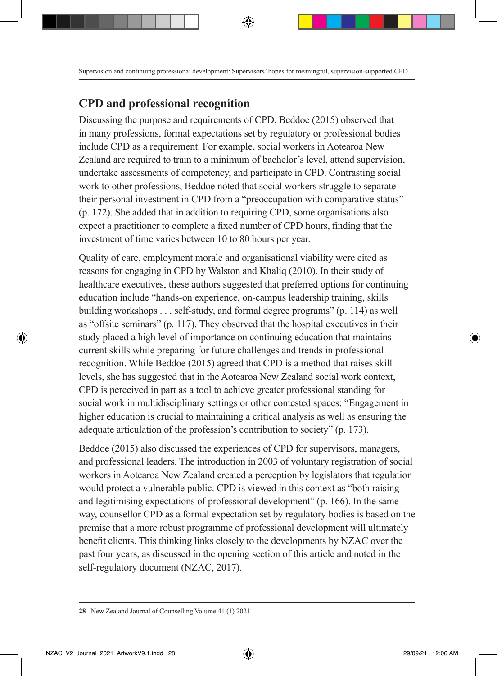### **CPD and professional recognition**

Discussing the purpose and requirements of CPD, Beddoe (2015) observed that in many professions, formal expectations set by regulatory or professional bodies include CPD as a requirement. For example, social workers in Aotearoa New Zealand are required to train to a minimum of bachelor's level, attend supervision, undertake assessments of competency, and participate in CPD. Contrasting social work to other professions, Beddoe noted that social workers struggle to separate their personal investment in CPD from a "preoccupation with comparative status" (p. 172). She added that in addition to requiring CPD, some organisations also expect a practitioner to complete a fixed number of CPD hours, finding that the investment of time varies between 10 to 80 hours per year.

Quality of care, employment morale and organisational viability were cited as reasons for engaging in CPD by Walston and Khaliq (2010). In their study of healthcare executives, these authors suggested that preferred options for continuing education include "hands-on experience, on-campus leadership training, skills building workshops . . . self-study, and formal degree programs" (p. 114) as well as "offsite seminars" (p. 117). They observed that the hospital executives in their study placed a high level of importance on continuing education that maintains current skills while preparing for future challenges and trends in professional recognition. While Beddoe (2015) agreed that CPD is a method that raises skill levels, she has suggested that in the Aotearoa New Zealand social work context, CPD is perceived in part as a tool to achieve greater professional standing for social work in multidisciplinary settings or other contested spaces: "Engagement in higher education is crucial to maintaining a critical analysis as well as ensuring the adequate articulation of the profession's contribution to society" (p. 173).

Beddoe (2015) also discussed the experiences of CPD for supervisors, managers, and professional leaders. The introduction in 2003 of voluntary registration of social workers in Aotearoa New Zealand created a perception by legislators that regulation would protect a vulnerable public. CPD is viewed in this context as "both raising and legitimising expectations of professional development" (p. 166). In the same way, counsellor CPD as a formal expectation set by regulatory bodies is based on the premise that a more robust programme of professional development will ultimately benefit clients. This thinking links closely to the developments by NZAC over the past four years, as discussed in the opening section of this article and noted in the self-regulatory document (NZAC, 2017).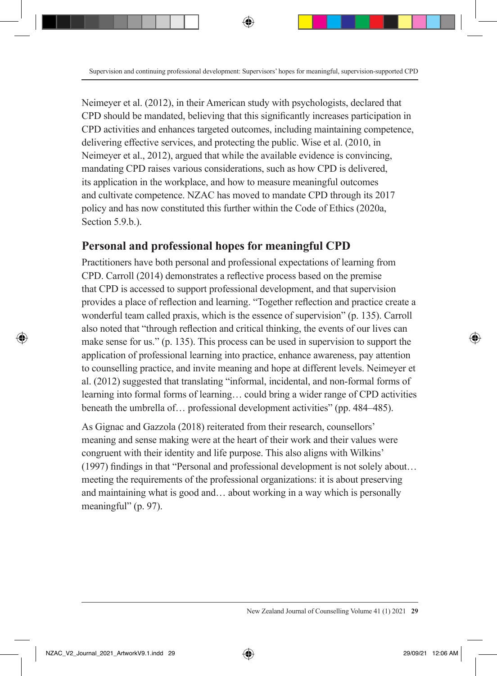Neimeyer et al. (2012), in their American study with psychologists, declared that CPD should be mandated, believing that this significantly increases participation in CPD activities and enhances targeted outcomes, including maintaining competence, delivering effective services, and protecting the public. Wise et al. (2010, in Neimeyer et al., 2012), argued that while the available evidence is convincing, mandating CPD raises various considerations, such as how CPD is delivered, its application in the workplace, and how to measure meaningful outcomes and cultivate competence. NZAC has moved to mandate CPD through its 2017 policy and has now constituted this further within the Code of Ethics (2020a, Section 5.9.b.).

### **Personal and professional hopes for meaningful CPD**

Practitioners have both personal and professional expectations of learning from CPD. Carroll (2014) demonstrates a reflective process based on the premise that CPD is accessed to support professional development, and that supervision provides a place of reflection and learning. "Together reflection and practice create a wonderful team called praxis, which is the essence of supervision" (p. 135). Carroll also noted that "through reflection and critical thinking, the events of our lives can make sense for us." (p. 135). This process can be used in supervision to support the application of professional learning into practice, enhance awareness, pay attention to counselling practice, and invite meaning and hope at different levels. Neimeyer et al. (2012) suggested that translating "informal, incidental, and non-formal forms of learning into formal forms of learning… could bring a wider range of CPD activities beneath the umbrella of… professional development activities" (pp. 484–485).

As Gignac and Gazzola (2018) reiterated from their research, counsellors' meaning and sense making were at the heart of their work and their values were congruent with their identity and life purpose. This also aligns with Wilkins' (1997) findings in that "Personal and professional development is not solely about… meeting the requirements of the professional organizations: it is about preserving and maintaining what is good and… about working in a way which is personally meaningful" (p. 97).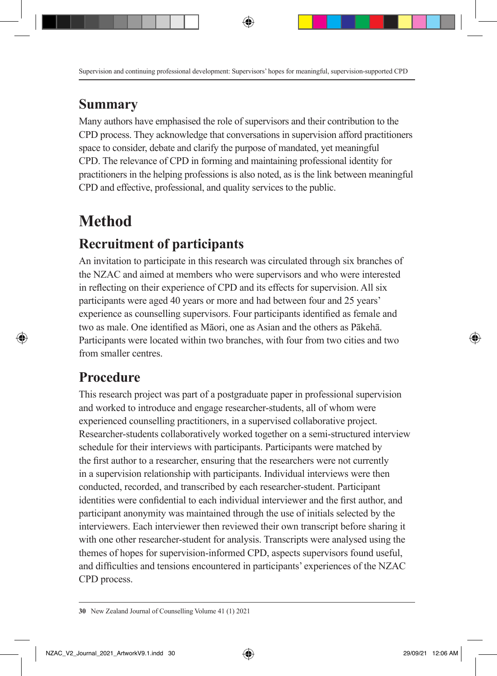### **Summary**

Many authors have emphasised the role of supervisors and their contribution to the CPD process. They acknowledge that conversations in supervision afford practitioners space to consider, debate and clarify the purpose of mandated, yet meaningful CPD. The relevance of CPD in forming and maintaining professional identity for practitioners in the helping professions is also noted, as is the link between meaningful CPD and effective, professional, and quality services to the public.

# **Method**

# **Recruitment of participants**

An invitation to participate in this research was circulated through six branches of the NZAC and aimed at members who were supervisors and who were interested in reflecting on their experience of CPD and its effects for supervision. All six participants were aged 40 years or more and had between four and 25 years' experience as counselling supervisors. Four participants identified as female and two as male. One identified as Māori, one as Asian and the others as Pākehā. Participants were located within two branches, with four from two cities and two from smaller centres.

# **Procedure**

This research project was part of a postgraduate paper in professional supervision and worked to introduce and engage researcher-students, all of whom were experienced counselling practitioners, in a supervised collaborative project. Researcher-students collaboratively worked together on a semi-structured interview schedule for their interviews with participants. Participants were matched by the first author to a researcher, ensuring that the researchers were not currently in a supervision relationship with participants. Individual interviews were then conducted, recorded, and transcribed by each researcher-student. Participant identities were confidential to each individual interviewer and the first author, and participant anonymity was maintained through the use of initials selected by the interviewers. Each interviewer then reviewed their own transcript before sharing it with one other researcher-student for analysis. Transcripts were analysed using the themes of hopes for supervision-informed CPD, aspects supervisors found useful, and difficulties and tensions encountered in participants' experiences of the NZAC CPD process.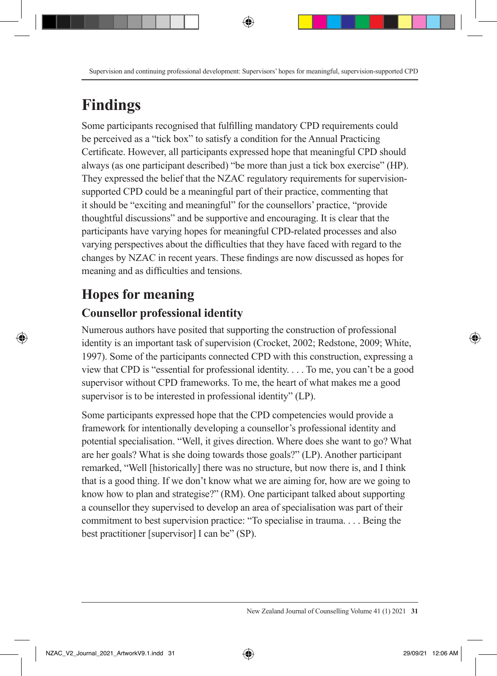# **Findings**

Some participants recognised that fulfilling mandatory CPD requirements could be perceived as a "tick box" to satisfy a condition for the Annual Practicing Certificate. However, all participants expressed hope that meaningful CPD should always (as one participant described) "be more than just a tick box exercise" (HP). They expressed the belief that the NZAC regulatory requirements for supervisionsupported CPD could be a meaningful part of their practice, commenting that it should be "exciting and meaningful" for the counsellors' practice, "provide thoughtful discussions" and be supportive and encouraging. It is clear that the participants have varying hopes for meaningful CPD-related processes and also varying perspectives about the difficulties that they have faced with regard to the changes by NZAC in recent years. These findings are now discussed as hopes for meaning and as difficulties and tensions.

# **Hopes for meaning**

### **Counsellor professional identity**

Numerous authors have posited that supporting the construction of professional identity is an important task of supervision (Crocket, 2002; Redstone, 2009; White, 1997). Some of the participants connected CPD with this construction, expressing a view that CPD is "essential for professional identity. . . . To me, you can't be a good supervisor without CPD frameworks. To me, the heart of what makes me a good supervisor is to be interested in professional identity" (LP).

Some participants expressed hope that the CPD competencies would provide a framework for intentionally developing a counsellor's professional identity and potential specialisation. "Well, it gives direction. Where does she want to go? What are her goals? What is she doing towards those goals?" (LP). Another participant remarked, "Well [historically] there was no structure, but now there is, and I think that is a good thing. If we don't know what we are aiming for, how are we going to know how to plan and strategise?" (RM). One participant talked about supporting a counsellor they supervised to develop an area of specialisation was part of their commitment to best supervision practice: "To specialise in trauma. . . . Being the best practitioner [supervisor] I can be" (SP).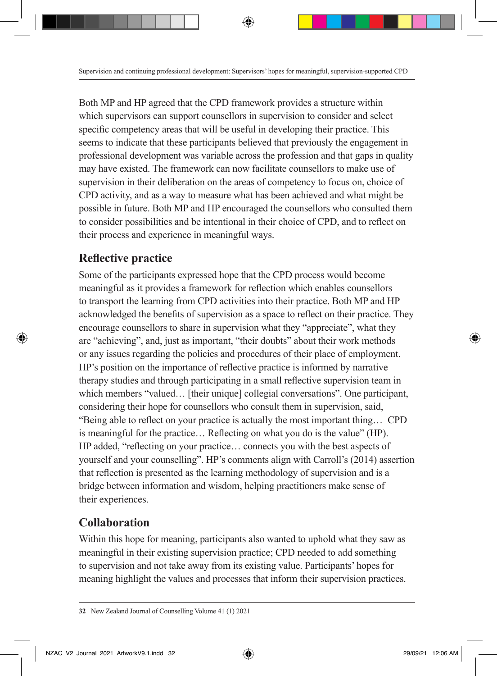Both MP and HP agreed that the CPD framework provides a structure within which supervisors can support counsellors in supervision to consider and select specific competency areas that will be useful in developing their practice. This seems to indicate that these participants believed that previously the engagement in professional development was variable across the profession and that gaps in quality may have existed. The framework can now facilitate counsellors to make use of supervision in their deliberation on the areas of competency to focus on, choice of CPD activity, and as a way to measure what has been achieved and what might be possible in future. Both MP and HP encouraged the counsellors who consulted them to consider possibilities and be intentional in their choice of CPD, and to reflect on their process and experience in meaningful ways.

### **Reflective practice**

Some of the participants expressed hope that the CPD process would become meaningful as it provides a framework for reflection which enables counsellors to transport the learning from CPD activities into their practice. Both MP and HP acknowledged the benefits of supervision as a space to reflect on their practice. They encourage counsellors to share in supervision what they "appreciate", what they are "achieving", and, just as important, "their doubts" about their work methods or any issues regarding the policies and procedures of their place of employment. HP's position on the importance of reflective practice is informed by narrative therapy studies and through participating in a small reflective supervision team in which members "valued... [their unique] collegial conversations". One participant, considering their hope for counsellors who consult them in supervision, said, "Being able to reflect on your practice is actually the most important thing… CPD is meaningful for the practice… Reflecting on what you do is the value" (HP). HP added, "reflecting on your practice… connects you with the best aspects of yourself and your counselling". HP's comments align with Carroll's (2014) assertion that reflection is presented as the learning methodology of supervision and is a bridge between information and wisdom, helping practitioners make sense of their experiences.

### **Collaboration**

Within this hope for meaning, participants also wanted to uphold what they saw as meaningful in their existing supervision practice; CPD needed to add something to supervision and not take away from its existing value. Participants' hopes for meaning highlight the values and processes that inform their supervision practices.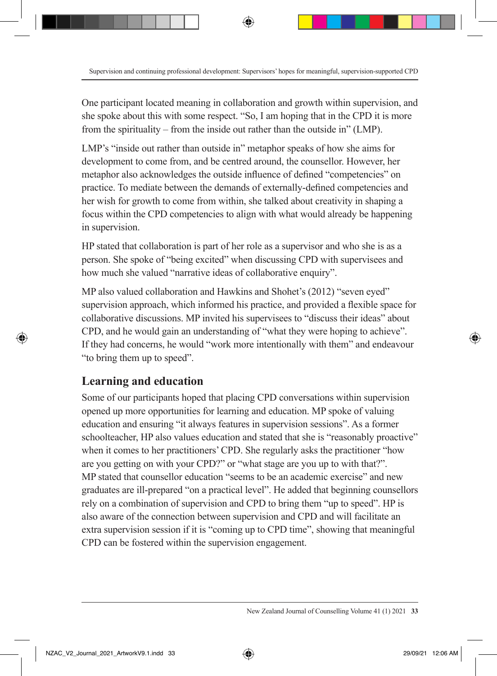One participant located meaning in collaboration and growth within supervision, and she spoke about this with some respect. "So, I am hoping that in the CPD it is more from the spirituality – from the inside out rather than the outside in" (LMP).

LMP's "inside out rather than outside in" metaphor speaks of how she aims for development to come from, and be centred around, the counsellor. However, her metaphor also acknowledges the outside influence of defined "competencies" on practice. To mediate between the demands of externally-defined competencies and her wish for growth to come from within, she talked about creativity in shaping a focus within the CPD competencies to align with what would already be happening in supervision.

HP stated that collaboration is part of her role as a supervisor and who she is as a person. She spoke of "being excited" when discussing CPD with supervisees and how much she valued "narrative ideas of collaborative enquiry".

MP also valued collaboration and Hawkins and Shohet's (2012) "seven eyed" supervision approach, which informed his practice, and provided a flexible space for collaborative discussions. MP invited his supervisees to "discuss their ideas" about CPD, and he would gain an understanding of "what they were hoping to achieve". If they had concerns, he would "work more intentionally with them" and endeavour "to bring them up to speed".

### **Learning and education**

Some of our participants hoped that placing CPD conversations within supervision opened up more opportunities for learning and education. MP spoke of valuing education and ensuring "it always features in supervision sessions". As a former schoolteacher, HP also values education and stated that she is "reasonably proactive" when it comes to her practitioners' CPD. She regularly asks the practitioner "how are you getting on with your CPD?" or "what stage are you up to with that?". MP stated that counsellor education "seems to be an academic exercise" and new graduates are ill-prepared "on a practical level". He added that beginning counsellors rely on a combination of supervision and CPD to bring them "up to speed". HP is also aware of the connection between supervision and CPD and will facilitate an extra supervision session if it is "coming up to CPD time", showing that meaningful CPD can be fostered within the supervision engagement.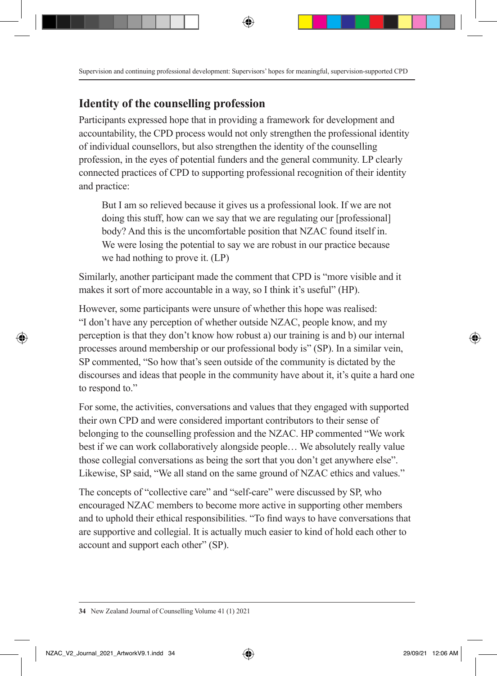### **Identity of the counselling profession**

Participants expressed hope that in providing a framework for development and accountability, the CPD process would not only strengthen the professional identity of individual counsellors, but also strengthen the identity of the counselling profession, in the eyes of potential funders and the general community. LP clearly connected practices of CPD to supporting professional recognition of their identity and practice:

But I am so relieved because it gives us a professional look. If we are not doing this stuff, how can we say that we are regulating our [professional] body? And this is the uncomfortable position that NZAC found itself in. We were losing the potential to say we are robust in our practice because we had nothing to prove it. (LP)

Similarly, another participant made the comment that CPD is "more visible and it makes it sort of more accountable in a way, so I think it's useful" (HP).

However, some participants were unsure of whether this hope was realised: "I don't have any perception of whether outside NZAC, people know, and my perception is that they don't know how robust a) our training is and b) our internal processes around membership or our professional body is" (SP). In a similar vein, SP commented, "So how that's seen outside of the community is dictated by the discourses and ideas that people in the community have about it, it's quite a hard one to respond to."

For some, the activities, conversations and values that they engaged with supported their own CPD and were considered important contributors to their sense of belonging to the counselling profession and the NZAC. HP commented "We work best if we can work collaboratively alongside people… We absolutely really value those collegial conversations as being the sort that you don't get anywhere else". Likewise, SP said, "We all stand on the same ground of NZAC ethics and values."

The concepts of "collective care" and "self-care" were discussed by SP, who encouraged NZAC members to become more active in supporting other members and to uphold their ethical responsibilities. "To find ways to have conversations that are supportive and collegial. It is actually much easier to kind of hold each other to account and support each other" (SP).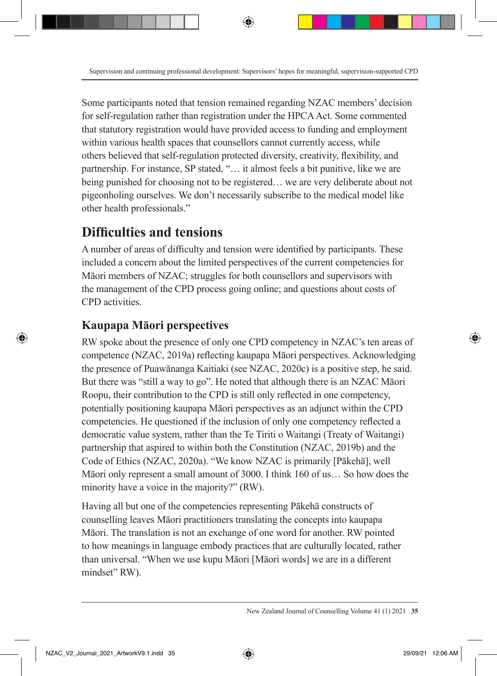Some participants noted that tension remained regarding NZAC members' decision for self-regulation rather than registration under the HPCA Act. Some commented that statutory registration would have provided access to funding and employment within various health spaces that counsellors cannot currently access, while others believed that self-regulation protected diversity, creativity, flexibility, and partnership. For instance, SP stated, "… it almost feels a bit punitive, like we are being punished for choosing not to be registered… we are very deliberate about not pigeonholing ourselves. We don't necessarily subscribe to the medical model like other health professionals."

### **Difficulties and tensions**

A number of areas of difficulty and tension were identified by participants. These included a concern about the limited perspectives of the current competencies for Māori members of NZAC; struggles for both counsellors and supervisors with the management of the CPD process going online; and questions about costs of CPD activities.

### **Kaupapa Māori perspectives**

RW spoke about the presence of only one CPD competency in NZAC's ten areas of competence (NZAC, 2019a) reflecting kaupapa Māori perspectives. Acknowledging the presence of Puawānanga Kaitiaki (see NZAC, 2020c) is a positive step, he said. But there was "still a way to go". He noted that although there is an NZAC Māori Roopu, their contribution to the CPD is still only reflected in one competency, potentially positioning kaupapa Māori perspectives as an adjunct within the CPD competencies. He questioned if the inclusion of only one competency reflected a democratic value system, rather than the Te Tiriti o Waitangi (Treaty of Waitangi) partnership that aspired to within both the Constitution (NZAC, 2019b) and the Code of Ethics (NZAC, 2020a). "We know NZAC is primarily [Pākehā], well Māori only represent a small amount of 3000. I think 160 of us… So how does the minority have a voice in the majority?" (RW).

Having all but one of the competencies representing Pākehā constructs of counselling leaves Māori practitioners translating the concepts into kaupapa Māori. The translation is not an exchange of one word for another. RW pointed to how meanings in language embody practices that are culturally located, rather than universal. "When we use kupu Māori [Māori words] we are in a different mindset" RW).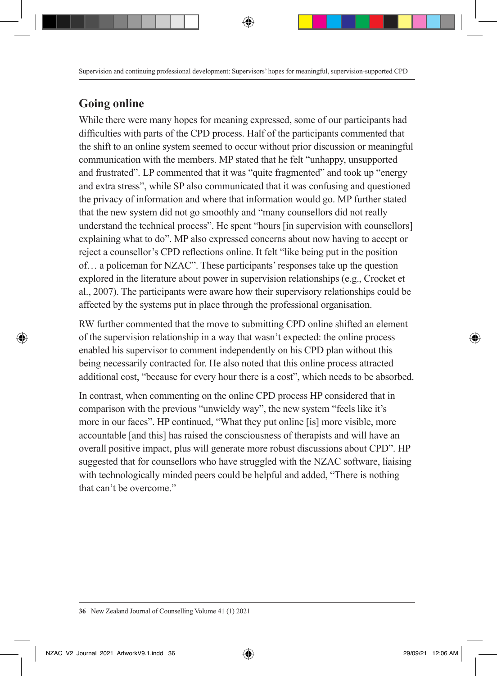### **Going online**

While there were many hopes for meaning expressed, some of our participants had difficulties with parts of the CPD process. Half of the participants commented that the shift to an online system seemed to occur without prior discussion or meaningful communication with the members. MP stated that he felt "unhappy, unsupported and frustrated". LP commented that it was "quite fragmented" and took up "energy and extra stress", while SP also communicated that it was confusing and questioned the privacy of information and where that information would go. MP further stated that the new system did not go smoothly and "many counsellors did not really understand the technical process". He spent "hours [in supervision with counsellors] explaining what to do". MP also expressed concerns about now having to accept or reject a counsellor's CPD reflections online. It felt "like being put in the position of… a policeman for NZAC". These participants' responses take up the question explored in the literature about power in supervision relationships (e.g., Crocket et al., 2007). The participants were aware how their supervisory relationships could be affected by the systems put in place through the professional organisation.

RW further commented that the move to submitting CPD online shifted an element of the supervision relationship in a way that wasn't expected: the online process enabled his supervisor to comment independently on his CPD plan without this being necessarily contracted for. He also noted that this online process attracted additional cost, "because for every hour there is a cost", which needs to be absorbed.

In contrast, when commenting on the online CPD process HP considered that in comparison with the previous "unwieldy way", the new system "feels like it's more in our faces". HP continued, "What they put online [is] more visible, more accountable [and this] has raised the consciousness of therapists and will have an overall positive impact, plus will generate more robust discussions about CPD". HP suggested that for counsellors who have struggled with the NZAC software, liaising with technologically minded peers could be helpful and added, "There is nothing that can't be overcome."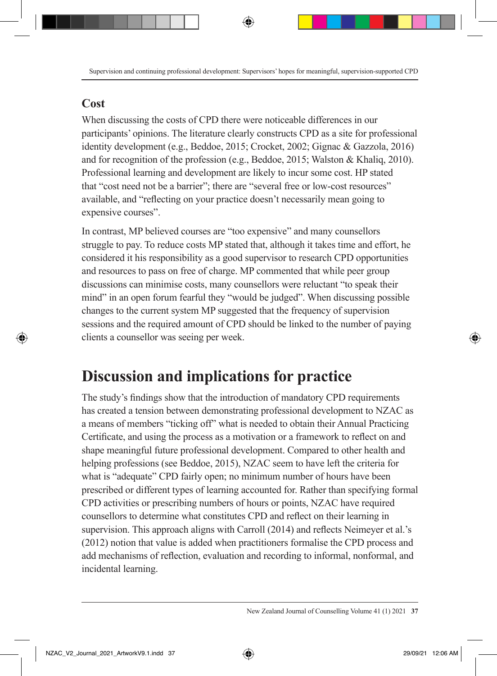### **Cost**

When discussing the costs of CPD there were noticeable differences in our participants' opinions. The literature clearly constructs CPD as a site for professional identity development (e.g., Beddoe, 2015; Crocket, 2002; Gignac & Gazzola, 2016) and for recognition of the profession (e.g., Beddoe, 2015; Walston & Khaliq, 2010). Professional learning and development are likely to incur some cost. HP stated that "cost need not be a barrier"; there are "several free or low-cost resources" available, and "reflecting on your practice doesn't necessarily mean going to expensive courses".

In contrast, MP believed courses are "too expensive" and many counsellors struggle to pay. To reduce costs MP stated that, although it takes time and effort, he considered it his responsibility as a good supervisor to research CPD opportunities and resources to pass on free of charge. MP commented that while peer group discussions can minimise costs, many counsellors were reluctant "to speak their mind" in an open forum fearful they "would be judged". When discussing possible changes to the current system MP suggested that the frequency of supervision sessions and the required amount of CPD should be linked to the number of paying clients a counsellor was seeing per week.

# **Discussion and implications for practice**

The study's findings show that the introduction of mandatory CPD requirements has created a tension between demonstrating professional development to NZAC as a means of members "ticking off" what is needed to obtain their Annual Practicing Certificate, and using the process as a motivation or a framework to reflect on and shape meaningful future professional development. Compared to other health and helping professions (see Beddoe, 2015), NZAC seem to have left the criteria for what is "adequate" CPD fairly open; no minimum number of hours have been prescribed or different types of learning accounted for. Rather than specifying formal CPD activities or prescribing numbers of hours or points, NZAC have required counsellors to determine what constitutes CPD and reflect on their learning in supervision. This approach aligns with Carroll (2014) and reflects Neimeyer et al.'s (2012) notion that value is added when practitioners formalise the CPD process and add mechanisms of reflection, evaluation and recording to informal, nonformal, and incidental learning.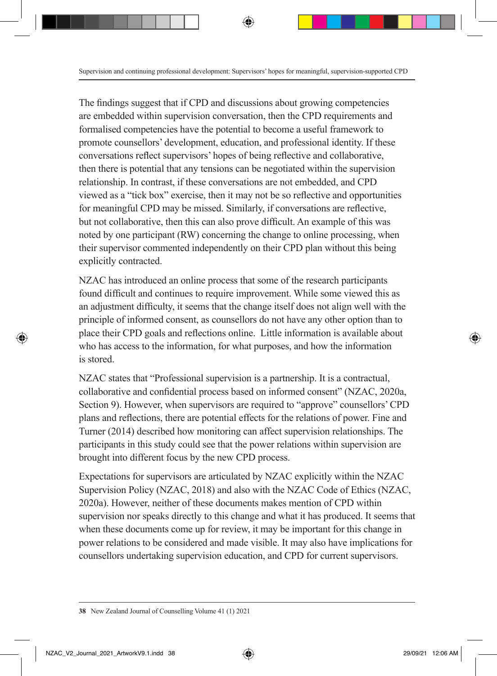The findings suggest that if CPD and discussions about growing competencies are embedded within supervision conversation, then the CPD requirements and formalised competencies have the potential to become a useful framework to promote counsellors' development, education, and professional identity. If these conversations reflect supervisors' hopes of being reflective and collaborative, then there is potential that any tensions can be negotiated within the supervision relationship. In contrast, if these conversations are not embedded, and CPD viewed as a "tick box" exercise, then it may not be so reflective and opportunities for meaningful CPD may be missed. Similarly, if conversations are reflective, but not collaborative, then this can also prove difficult. An example of this was noted by one participant (RW) concerning the change to online processing, when their supervisor commented independently on their CPD plan without this being explicitly contracted.

NZAC has introduced an online process that some of the research participants found difficult and continues to require improvement. While some viewed this as an adjustment difficulty, it seems that the change itself does not align well with the principle of informed consent, as counsellors do not have any other option than to place their CPD goals and reflections online. Little information is available about who has access to the information, for what purposes, and how the information is stored.

NZAC states that "Professional supervision is a partnership. It is a contractual, collaborative and confidential process based on informed consent" (NZAC, 2020a, Section 9). However, when supervisors are required to "approve" counsellors' CPD plans and reflections, there are potential effects for the relations of power. Fine and Turner (2014) described how monitoring can affect supervision relationships. The participants in this study could see that the power relations within supervision are brought into different focus by the new CPD process.

Expectations for supervisors are articulated by NZAC explicitly within the NZAC Supervision Policy (NZAC, 2018) and also with the NZAC Code of Ethics (NZAC, 2020a). However, neither of these documents makes mention of CPD within supervision nor speaks directly to this change and what it has produced. It seems that when these documents come up for review, it may be important for this change in power relations to be considered and made visible. It may also have implications for counsellors undertaking supervision education, and CPD for current supervisors.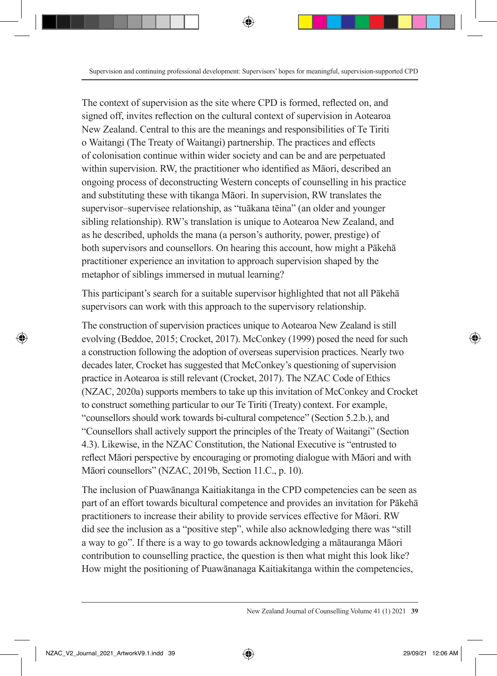The context of supervision as the site where CPD is formed, reflected on, and signed off, invites reflection on the cultural context of supervision in Aotearoa New Zealand. Central to this are the meanings and responsibilities of Te Tiriti o Waitangi (The Treaty of Waitangi) partnership. The practices and effects of colonisation continue within wider society and can be and are perpetuated within supervision. RW, the practitioner who identified as Māori, described an ongoing process of deconstructing Western concepts of counselling in his practice and substituting these with tikanga Māori. In supervision, RW translates the supervisor–supervisee relationship, as "tuākana tēina" (an older and younger sibling relationship). RW's translation is unique to Aotearoa New Zealand, and as he described, upholds the mana (a person's authority, power, prestige) of both supervisors and counsellors. On hearing this account, how might a Pākehā practitioner experience an invitation to approach supervision shaped by the metaphor of siblings immersed in mutual learning?

This participant's search for a suitable supervisor highlighted that not all Pākehā supervisors can work with this approach to the supervisory relationship.

The construction of supervision practices unique to Aotearoa New Zealand is still evolving (Beddoe, 2015; Crocket, 2017). McConkey (1999) posed the need for such a construction following the adoption of overseas supervision practices. Nearly two decades later, Crocket has suggested that McConkey's questioning of supervision practice in Aotearoa is still relevant (Crocket, 2017). The NZAC Code of Ethics (NZAC, 2020a) supports members to take up this invitation of McConkey and Crocket to construct something particular to our Te Tiriti (Treaty) context. For example, "counsellors should work towards bi-cultural competence" (Section 5.2.b.), and "Counsellors shall actively support the principles of the Treaty of Waitangi" (Section 4.3). Likewise, in the NZAC Constitution, the National Executive is "entrusted to reflect Māori perspective by encouraging or promoting dialogue with Māori and with Māori counsellors" (NZAC, 2019b, Section 11.C., p. 10).

The inclusion of Puawānanga Kaitiakitanga in the CPD competencies can be seen as part of an effort towards bicultural competence and provides an invitation for Pākehā practitioners to increase their ability to provide services effective for Māori. RW did see the inclusion as a "positive step", while also acknowledging there was "still a way to go". If there is a way to go towards acknowledging a mātauranga Māori contribution to counselling practice, the question is then what might this look like? How might the positioning of Puawānanaga Kaitiakitanga within the competencies,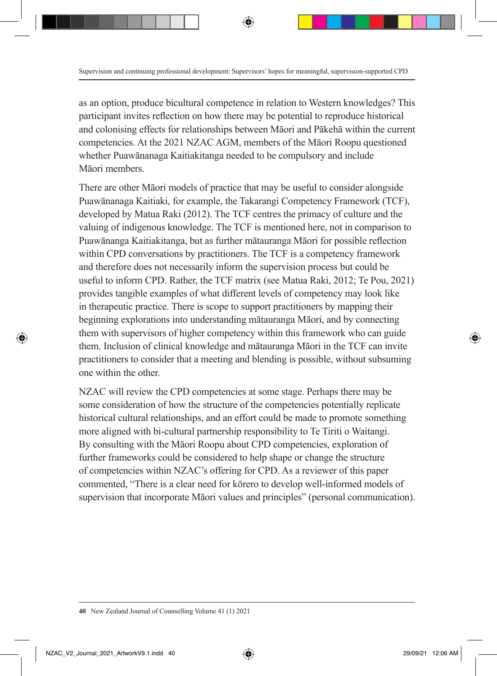as an option, produce bicultural competence in relation to Western knowledges? This participant invites reflection on how there may be potential to reproduce historical and colonising effects for relationships between Māori and Pākehā within the current competencies. At the 2021 NZAC AGM, members of the Māori Roopu questioned whether Puawānanaga Kaitiakitanga needed to be compulsory and include Māori members.

There are other Māori models of practice that may be useful to consider alongside Puawānanaga Kaitiaki, for example, the Takarangi Competency Framework (TCF), developed by Matua Raki (2012). The TCF centres the primacy of culture and the valuing of indigenous knowledge. The TCF is mentioned here, not in comparison to Puawānanga Kaitiakitanga, but as further mātauranga Māori for possible reflection within CPD conversations by practitioners. The TCF is a competency framework and therefore does not necessarily inform the supervision process but could be useful to inform CPD. Rather, the TCF matrix (see Matua Raki, 2012; Te Pou, 2021) provides tangible examples of what different levels of competency may look like in therapeutic practice. There is scope to support practitioners by mapping their beginning explorations into understanding mātauranga Māori, and by connecting them with supervisors of higher competency within this framework who can guide them. Inclusion of clinical knowledge and mātauranga Māori in the TCF can invite practitioners to consider that a meeting and blending is possible, without subsuming one within the other.

NZAC will review the CPD competencies at some stage. Perhaps there may be some consideration of how the structure of the competencies potentially replicate historical cultural relationships, and an effort could be made to promote something more aligned with bi-cultural partnership responsibility to Te Tiriti o Waitangi. By consulting with the Māori Roopu about CPD competencies, exploration of further frameworks could be considered to help shape or change the structure of competencies within NZAC's offering for CPD. As a reviewer of this paper commented, "There is a clear need for kōrero to develop well-informed models of supervision that incorporate Māori values and principles" (personal communication).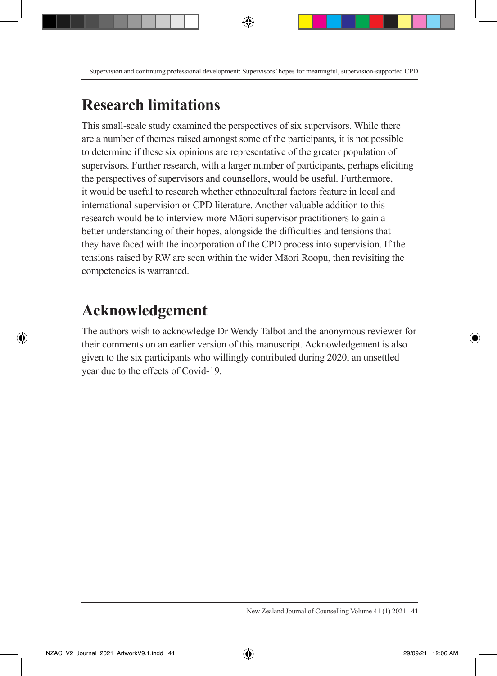# **Research limitations**

This small-scale study examined the perspectives of six supervisors. While there are a number of themes raised amongst some of the participants, it is not possible to determine if these six opinions are representative of the greater population of supervisors. Further research, with a larger number of participants, perhaps eliciting the perspectives of supervisors and counsellors, would be useful. Furthermore, it would be useful to research whether ethnocultural factors feature in local and international supervision or CPD literature. Another valuable addition to this research would be to interview more Māori supervisor practitioners to gain a better understanding of their hopes, alongside the difficulties and tensions that they have faced with the incorporation of the CPD process into supervision. If the tensions raised by RW are seen within the wider Māori Roopu, then revisiting the competencies is warranted.

# **Acknowledgement**

The authors wish to acknowledge Dr Wendy Talbot and the anonymous reviewer for their comments on an earlier version of this manuscript. Acknowledgement is also given to the six participants who willingly contributed during 2020, an unsettled year due to the effects of Covid-19.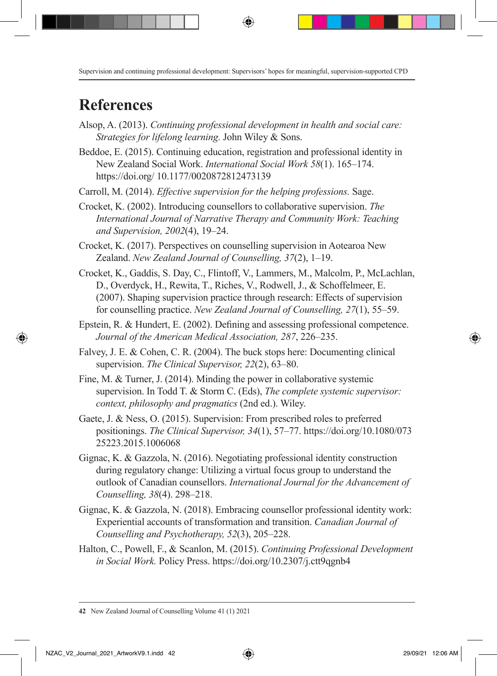# **References**

- Alsop, A. (2013). *Continuing professional development in health and social care: Strategies for lifelong learning.* John Wiley & Sons.
- Beddoe, E. (2015). Continuing education, registration and professional identity in New Zealand Social Work. *International Social Work 58*(1). 165–174. https://doi.org/ 10.1177/0020872812473139
- Carroll, M. (2014). *Effective supervision for the helping professions.* Sage.
- Crocket, K. (2002). Introducing counsellors to collaborative supervision. *The International Journal of Narrative Therapy and Community Work: Teaching and Supervision, 2002*(4), 19–24.
- Crocket, K. (2017). Perspectives on counselling supervision in Aotearoa New Zealand. *New Zealand Journal of Counselling, 37*(2), 1–19.
- Crocket, K., Gaddis, S. Day, C., Flintoff, V., Lammers, M., Malcolm, P., McLachlan, D., Overdyck, H., Rewita, T., Riches, V., Rodwell, J., & Schoffelmeer, E. (2007). Shaping supervision practice through research: Effects of supervision for counselling practice. *New Zealand Journal of Counselling, 27*(1), 55–59.
- Epstein, R. & Hundert, E. (2002). Defining and assessing professional competence. *Journal of the American Medical Association, 287*, 226–235.
- Falvey, J. E. & Cohen, C. R. (2004). The buck stops here: Documenting clinical supervision. *The Clinical Supervisor, 22*(2), 63–80.
- Fine, M. & Turner, J. (2014). Minding the power in collaborative systemic supervision. In Todd T. & Storm C. (Eds), *The complete systemic supervisor: context, philosophy and pragmatics* (2nd ed.). Wiley.
- Gaete, J. & Ness, O. (2015). Supervision: From prescribed roles to preferred positionings. *The Clinical Supervisor, 34*(1), 57–77. https://doi.org/10.1080/073 25223.2015.1006068
- Gignac, K. & Gazzola, N. (2016). Negotiating professional identity construction during regulatory change: Utilizing a virtual focus group to understand the outlook of Canadian counsellors. *International Journal for the Advancement of Counselling, 38*(4). 298–218.
- Gignac, K. & Gazzola, N. (2018). Embracing counsellor professional identity work: Experiential accounts of transformation and transition. *Canadian Journal of Counselling and Psychotherapy, 52*(3), 205–228.
- Halton, C., Powell, F., & Scanlon, M. (2015). *Continuing Professional Development in Social Work.* Policy Press. https://doi.org/10.2307/j.ctt9qgnb4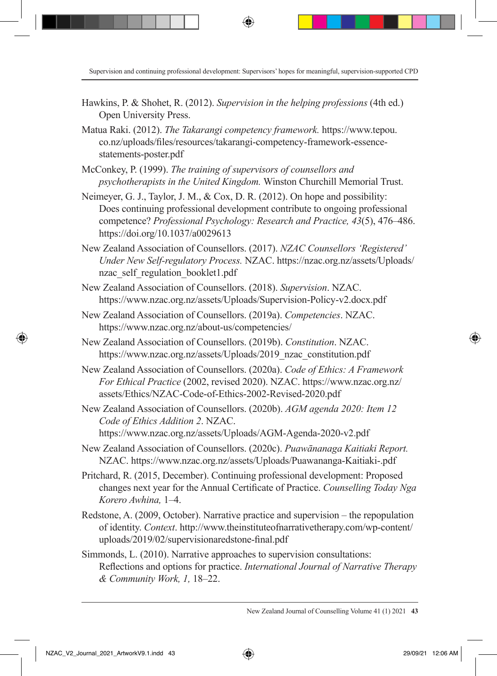- Hawkins, P. & Shohet, R. (2012). *Supervision in the helping professions* (4th ed.) Open University Press.
- Matua Raki. (2012). *The Takarangi competency framework.* https://www.tepou. co.nz/uploads/files/resources/takarangi-competency-framework-essencestatements-poster.pdf
- McConkey, P. (1999). *The training of supervisors of counsellors and psychotherapists in the United Kingdom.* Winston Churchill Memorial Trust.
- Neimeyer, G. J., Taylor, J. M., & Cox, D. R. (2012). On hope and possibility: Does continuing professional development contribute to ongoing professional competence? *Professional Psychology: Research and Practice, 43*(5), 476–486. https://doi.org/10.1037/a0029613
- New Zealand Association of Counsellors. (2017). *NZAC Counsellors 'Registered' Under New Self-regulatory Process.* NZAC. https://nzac.org.nz/assets/Uploads/ nzac\_self\_regulation\_booklet1.pdf
- New Zealand Association of Counsellors. (2018). *Supervision*. NZAC. https://www.nzac.org.nz/assets/Uploads/Supervision-Policy-v2.docx.pdf
- New Zealand Association of Counsellors. (2019a). *Competencies*. NZAC. https://www.nzac.org.nz/about-us/competencies/
- New Zealand Association of Counsellors. (2019b). *Constitution*. NZAC. https://www.nzac.org.nz/assets/Uploads/2019\_nzac\_constitution.pdf
- New Zealand Association of Counsellors. (2020a). *Code of Ethics: A Framework For Ethical Practice* (2002, revised 2020). NZAC. https://www.nzac.org.nz/ assets/Ethics/NZAC-Code-of-Ethics-2002-Revised-2020.pdf
- New Zealand Association of Counsellors. (2020b). *AGM agenda 2020: Item 12 Code of Ethics Addition 2*. NZAC. https://www.nzac.org.nz/assets/Uploads/AGM-Agenda-2020-v2.pdf
- New Zealand Association of Counsellors. (2020c). *Puawānanaga Kaitiaki Report.* NZAC. https://www.nzac.org.nz/assets/Uploads/Puawananga-Kaitiaki-.pdf
- Pritchard, R. (2015, December). Continuing professional development: Proposed changes next year for the Annual Certificate of Practice. *Counselling Today Nga Korero Awhina,* 1–4.
- Redstone, A. (2009, October). Narrative practice and supervision the repopulation of identity. *Context*. http://www.theinstituteofnarrativetherapy.com/wp-content/ uploads/2019/02/supervisionaredstone-final.pdf
- Simmonds, L. (2010). Narrative approaches to supervision consultations: Reflections and options for practice. *International Journal of Narrative Therapy & Community Work, 1,* 18–22.